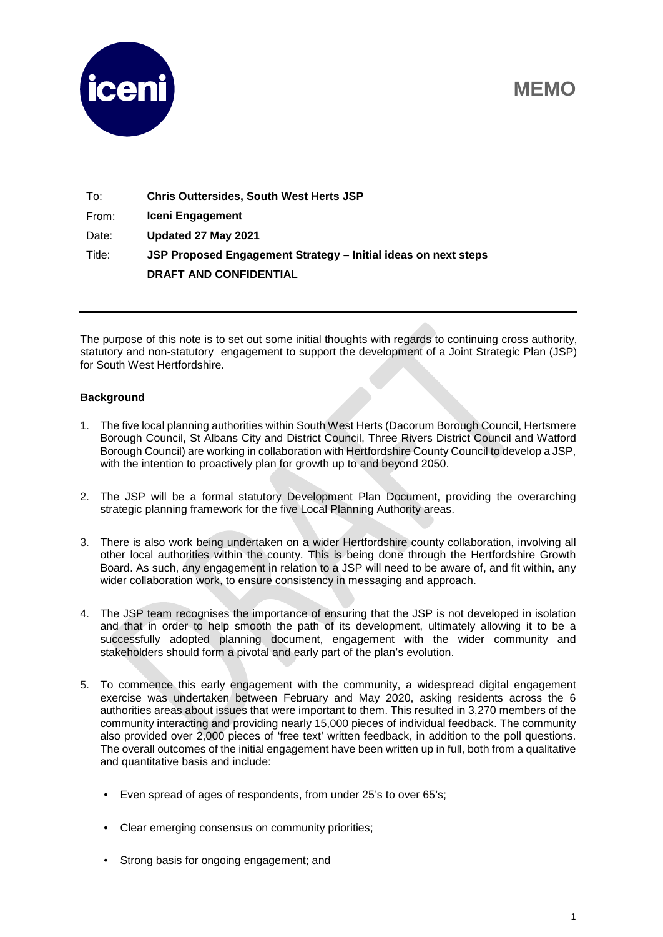## **MEMO**



| To:    | <b>Chris Outtersides, South West Herts JSP</b>                 |
|--------|----------------------------------------------------------------|
| From:  | Iceni Engagement                                               |
| Date:  | Updated 27 May 2021                                            |
| Title: | JSP Proposed Engagement Strategy – Initial ideas on next steps |
|        | <b>DRAFT AND CONFIDENTIAL</b>                                  |

The purpose of this note is to set out some initial thoughts with regards to continuing cross authority, statutory and non-statutory engagement to support the development of a Joint Strategic Plan (JSP) for South West Hertfordshire.

## **Background**

- 1. The five local planning authorities within South West Herts (Dacorum Borough Council, Hertsmere Borough Council, St Albans City and District Council, Three Rivers District Council and Watford Borough Council) are working in collaboration with Hertfordshire County Council to develop a JSP, with the intention to proactively plan for growth up to and beyond 2050.
- 2. The JSP will be a formal statutory Development Plan Document, providing the overarching strategic planning framework for the five Local Planning Authority areas.
- 3. There is also work being undertaken on a wider Hertfordshire county collaboration, involving all other local authorities within the county. This is being done through the Hertfordshire Growth Board. As such, any engagement in relation to a JSP will need to be aware of, and fit within, any wider collaboration work, to ensure consistency in messaging and approach.
- 4. The JSP team recognises the importance of ensuring that the JSP is not developed in isolation and that in order to help smooth the path of its development, ultimately allowing it to be a successfully adopted planning document, engagement with the wider community and stakeholders should form a pivotal and early part of the plan's evolution.
- 5. To commence this early engagement with the community, a widespread digital engagement exercise was undertaken between February and May 2020, asking residents across the 6 authorities areas about issues that were important to them. This resulted in 3,270 members of the community interacting and providing nearly 15,000 pieces of individual feedback. The community also provided over 2,000 pieces of 'free text' written feedback, in addition to the poll questions. The overall outcomes of the initial engagement have been written up in full, both from a qualitative and quantitative basis and include:
	- Even spread of ages of respondents, from under 25's to over 65's;
	- Clear emerging consensus on community priorities;
	- Strong basis for ongoing engagement; and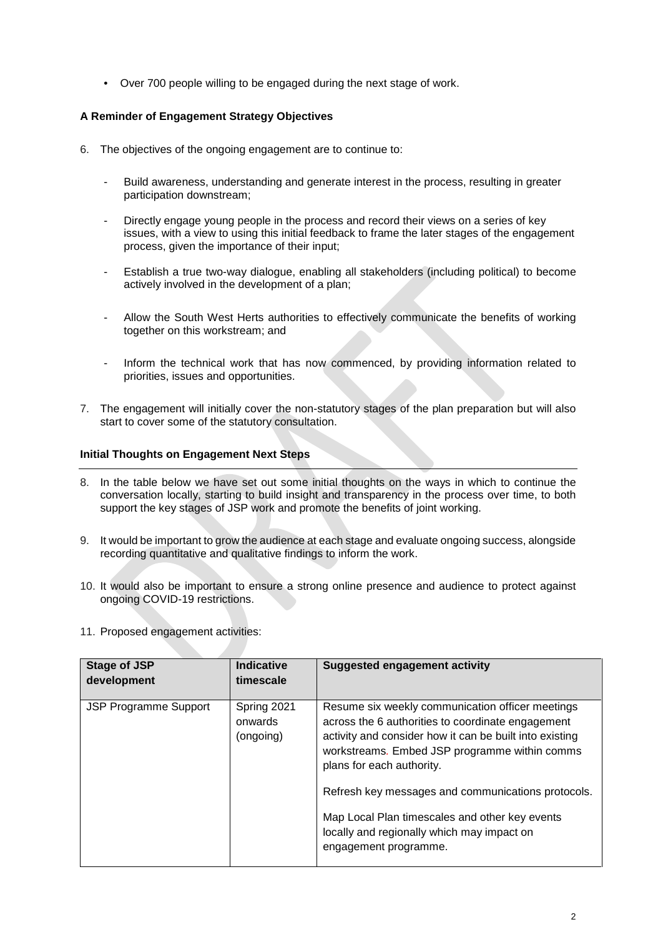• Over 700 people willing to be engaged during the next stage of work.

## **A Reminder of Engagement Strategy Objectives**

- 6. The objectives of the ongoing engagement are to continue to:
	- Build awareness, understanding and generate interest in the process, resulting in greater participation downstream;
	- Directly engage young people in the process and record their views on a series of key issues, with a view to using this initial feedback to frame the later stages of the engagement process, given the importance of their input;
	- Establish a true two-way dialogue, enabling all stakeholders (including political) to become actively involved in the development of a plan;
	- Allow the South West Herts authorities to effectively communicate the benefits of working together on this workstream; and
	- Inform the technical work that has now commenced, by providing information related to priorities, issues and opportunities.
- 7. The engagement will initially cover the non-statutory stages of the plan preparation but will also start to cover some of the statutory consultation.

## **Initial Thoughts on Engagement Next Steps**

- 8. In the table below we have set out some initial thoughts on the ways in which to continue the conversation locally, starting to build insight and transparency in the process over time, to both support the key stages of JSP work and promote the benefits of joint working.
- 9. It would be important to grow the audience at each stage and evaluate ongoing success, alongside recording quantitative and qualitative findings to inform the work.
- 10. It would also be important to ensure a strong online presence and audience to protect against ongoing COVID-19 restrictions.
- 11. Proposed engagement activities:

| <b>Stage of JSP</b><br>development | <b>Indicative</b><br>timescale      | <b>Suggested engagement activity</b>                                                                                                                                                                                                                                                                                                                                                                                          |
|------------------------------------|-------------------------------------|-------------------------------------------------------------------------------------------------------------------------------------------------------------------------------------------------------------------------------------------------------------------------------------------------------------------------------------------------------------------------------------------------------------------------------|
| <b>JSP Programme Support</b>       | Spring 2021<br>onwards<br>(ongoing) | Resume six weekly communication officer meetings<br>across the 6 authorities to coordinate engagement<br>activity and consider how it can be built into existing<br>workstreams. Embed JSP programme within comms<br>plans for each authority.<br>Refresh key messages and communications protocols.<br>Map Local Plan timescales and other key events<br>locally and regionally which may impact on<br>engagement programme. |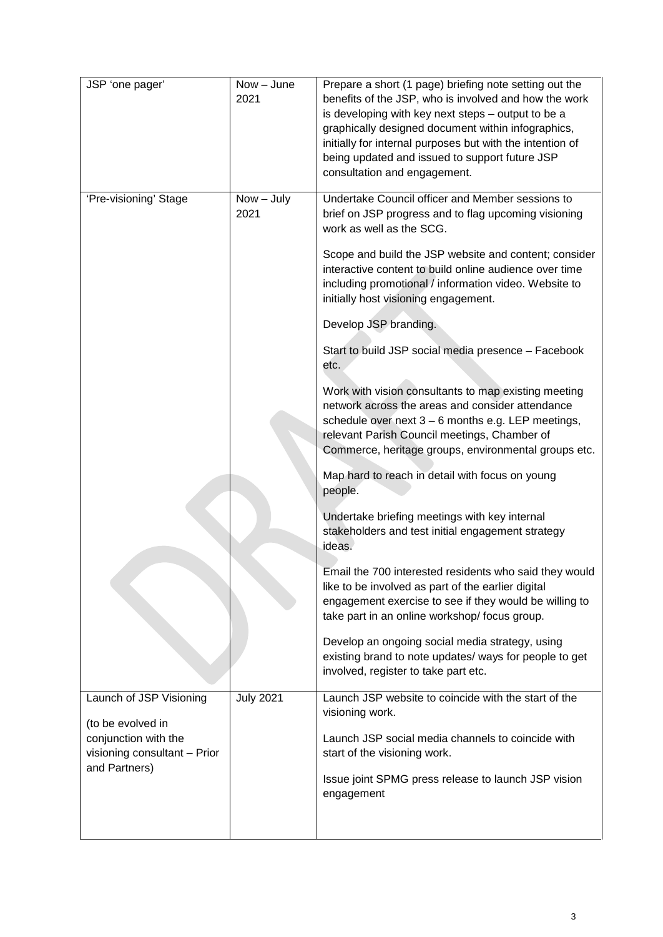| JSP 'one pager'                                                           | $Now - June$<br>2021 | Prepare a short (1 page) briefing note setting out the<br>benefits of the JSP, who is involved and how the work<br>is developing with key next steps - output to be a<br>graphically designed document within infographics,<br>initially for internal purposes but with the intention of<br>being updated and issued to support future JSP<br>consultation and engagement. |
|---------------------------------------------------------------------------|----------------------|----------------------------------------------------------------------------------------------------------------------------------------------------------------------------------------------------------------------------------------------------------------------------------------------------------------------------------------------------------------------------|
| 'Pre-visioning' Stage                                                     | $Now - July$<br>2021 | Undertake Council officer and Member sessions to<br>brief on JSP progress and to flag upcoming visioning<br>work as well as the SCG.                                                                                                                                                                                                                                       |
|                                                                           |                      | Scope and build the JSP website and content; consider<br>interactive content to build online audience over time<br>including promotional / information video. Website to<br>initially host visioning engagement.                                                                                                                                                           |
|                                                                           |                      | Develop JSP branding.                                                                                                                                                                                                                                                                                                                                                      |
|                                                                           |                      | Start to build JSP social media presence - Facebook<br>etc.                                                                                                                                                                                                                                                                                                                |
|                                                                           |                      | Work with vision consultants to map existing meeting<br>network across the areas and consider attendance<br>schedule over next 3 - 6 months e.g. LEP meetings,<br>relevant Parish Council meetings, Chamber of<br>Commerce, heritage groups, environmental groups etc.                                                                                                     |
|                                                                           |                      | Map hard to reach in detail with focus on young<br>people.                                                                                                                                                                                                                                                                                                                 |
|                                                                           |                      | Undertake briefing meetings with key internal<br>stakeholders and test initial engagement strategy<br>ideas.                                                                                                                                                                                                                                                               |
|                                                                           |                      | Email the 700 interested residents who said they would<br>like to be involved as part of the earlier digital<br>engagement exercise to see if they would be willing to<br>take part in an online workshop/ focus group.                                                                                                                                                    |
|                                                                           |                      | Develop an ongoing social media strategy, using<br>existing brand to note updates/ ways for people to get<br>involved, register to take part etc.                                                                                                                                                                                                                          |
| Launch of JSP Visioning                                                   | <b>July 2021</b>     | Launch JSP website to coincide with the start of the<br>visioning work.                                                                                                                                                                                                                                                                                                    |
| (to be evolved in<br>conjunction with the<br>visioning consultant - Prior |                      | Launch JSP social media channels to coincide with<br>start of the visioning work.                                                                                                                                                                                                                                                                                          |
| and Partners)                                                             |                      | Issue joint SPMG press release to launch JSP vision<br>engagement                                                                                                                                                                                                                                                                                                          |
|                                                                           |                      |                                                                                                                                                                                                                                                                                                                                                                            |